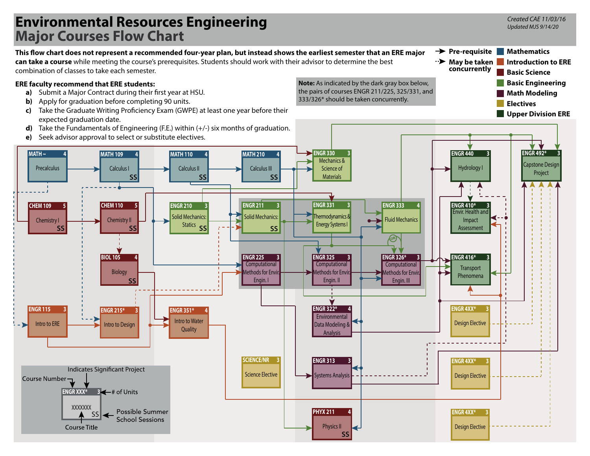## **Environmental Resources Engineering Major Courses Flow Chart**